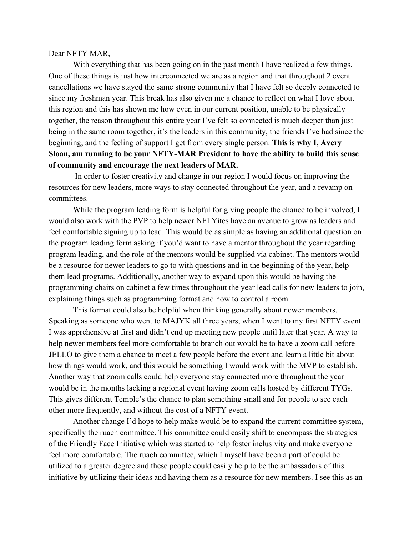## Dear NFTY MAR,

With everything that has been going on in the past month I have realized a few things. One of these things is just how interconnected we are as a region and that throughout 2 event cancellations we have stayed the same strong community that I have felt so deeply connected to since my freshman year. This break has also given me a chance to reflect on what I love about this region and this has shown me how even in our current position, unable to be physically together, the reason throughout this entire year I've felt so connected is much deeper than just being in the same room together, it's the leaders in this community, the friends I've had since the beginning, and the feeling of support I get from every single person. **This is why I, Avery Sloan, am running to be your NFTY-MAR President to have the ability to build this sense of community and encourage the next leaders of MAR.**

 In order to foster creativity and change in our region I would focus on improving the resources for new leaders, more ways to stay connected throughout the year, and a revamp on committees.

While the program leading form is helpful for giving people the chance to be involved, I would also work with the PVP to help newer NFTYites have an avenue to grow as leaders and feel comfortable signing up to lead. This would be as simple as having an additional question on the program leading form asking if you'd want to have a mentor throughout the year regarding program leading, and the role of the mentors would be supplied via cabinet. The mentors would be a resource for newer leaders to go to with questions and in the beginning of the year, help them lead programs. Additionally, another way to expand upon this would be having the programming chairs on cabinet a few times throughout the year lead calls for new leaders to join, explaining things such as programming format and how to control a room.

This format could also be helpful when thinking generally about newer members. Speaking as someone who went to MAJYK all three years, when I went to my first NFTY event I was apprehensive at first and didn't end up meeting new people until later that year. A way to help newer members feel more comfortable to branch out would be to have a zoom call before JELLO to give them a chance to meet a few people before the event and learn a little bit about how things would work, and this would be something I would work with the MVP to establish. Another way that zoom calls could help everyone stay connected more throughout the year would be in the months lacking a regional event having zoom calls hosted by different TYGs. This gives different Temple's the chance to plan something small and for people to see each other more frequently, and without the cost of a NFTY event.

Another change I'd hope to help make would be to expand the current committee system, specifically the ruach committee. This committee could easily shift to encompass the strategies of the Friendly Face Initiative which was started to help foster inclusivity and make everyone feel more comfortable. The ruach committee, which I myself have been a part of could be utilized to a greater degree and these people could easily help to be the ambassadors of this initiative by utilizing their ideas and having them as a resource for new members. I see this as an